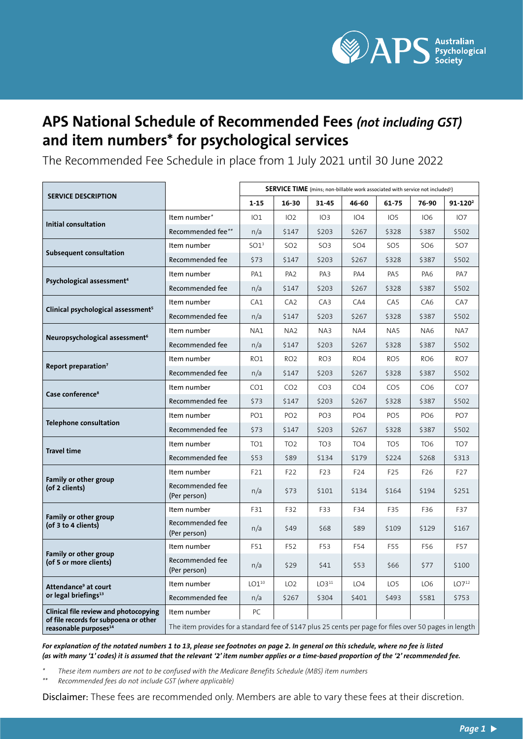

# **APS National Schedule of Recommended Fees** *(not including GST)* **and item numbers\* for psychological services**

The Recommended Fee Schedule in place from 1 July 2021 until 30 June 2022

|                                                                                                                     |                                                                                                        | <b>SERVICE TIME</b> (mins; non-billable work associated with service not included <sup>1</sup> ) |                 |                 |                 |                 |                 |                   |
|---------------------------------------------------------------------------------------------------------------------|--------------------------------------------------------------------------------------------------------|--------------------------------------------------------------------------------------------------|-----------------|-----------------|-----------------|-----------------|-----------------|-------------------|
| <b>SERVICE DESCRIPTION</b>                                                                                          |                                                                                                        | $1 - 15$                                                                                         | 16-30           | 31-45           | 46-60           | $61 - 75$       | 76-90           | $91 - 120^2$      |
| Initial consultation                                                                                                | Item number*                                                                                           | IO1                                                                                              | 102             | IO3             | IO4             | IO <sub>5</sub> | IO6             | IO7               |
|                                                                                                                     | Recommended fee**                                                                                      | n/a                                                                                              | \$147           | \$203           | \$267           | \$328           | \$387           | \$502             |
| Subsequent consultation                                                                                             | Item number                                                                                            | SO1 <sup>3</sup>                                                                                 | SO <sub>2</sub> | SO <sub>3</sub> | SO <sub>4</sub> | SO <sub>5</sub> | SO <sub>6</sub> | SO <sub>7</sub>   |
|                                                                                                                     | Recommended fee                                                                                        | \$73                                                                                             | \$147           | \$203           | \$267           | \$328           | \$387           | \$502             |
| Psychological assessment <sup>4</sup>                                                                               | Item number                                                                                            | PA <sub>1</sub>                                                                                  | PA <sub>2</sub> | PA3             | PA4             | PA <sub>5</sub> | PA <sub>6</sub> | PA <sub>7</sub>   |
|                                                                                                                     | Recommended fee                                                                                        | n/a                                                                                              | \$147           | \$203           | \$267           | \$328           | \$387           | \$502             |
| Clinical psychological assessment <sup>5</sup>                                                                      | Item number                                                                                            | CA1                                                                                              | CA <sub>2</sub> | CA3             | CA4             | CA <sub>5</sub> | CA <sub>6</sub> | CA7               |
|                                                                                                                     | Recommended fee                                                                                        | n/a                                                                                              | \$147           | \$203           | \$267           | \$328           | \$387           | \$502             |
| Neuropsychological assessment <sup>6</sup>                                                                          | Item number                                                                                            | NA1                                                                                              | NA <sub>2</sub> | NA3             | NA4             | NA <sub>5</sub> | NA <sub>6</sub> | NA7               |
|                                                                                                                     | Recommended fee                                                                                        | n/a                                                                                              | \$147           | \$203           | \$267           | \$328           | \$387           | \$502             |
| Report preparation <sup>7</sup>                                                                                     | Item number                                                                                            | RO1                                                                                              | RO <sub>2</sub> | RO3             | RO4             | RO <sub>5</sub> | RO <sub>6</sub> | RO <sub>7</sub>   |
|                                                                                                                     | Recommended fee                                                                                        | n/a                                                                                              | \$147           | \$203           | \$267           | \$328           | \$387           | \$502             |
| Case conference <sup>8</sup>                                                                                        | Item number                                                                                            | CO <sub>1</sub>                                                                                  | CO <sub>2</sub> | CO <sub>3</sub> | CO <sub>4</sub> | CO <sub>5</sub> | CO <sub>6</sub> | CO <sub>7</sub>   |
|                                                                                                                     | Recommended fee                                                                                        | \$73                                                                                             | \$147           | \$203           | \$267           | \$328           | \$387           | \$502             |
| <b>Telephone consultation</b>                                                                                       | Item number                                                                                            | PO <sub>1</sub>                                                                                  | PO <sub>2</sub> | PO <sub>3</sub> | PO <sub>4</sub> | PO <sub>5</sub> | PO <sub>6</sub> | PO <sub>7</sub>   |
|                                                                                                                     | Recommended fee                                                                                        | \$73                                                                                             | \$147           | \$203           | \$267           | \$328           | \$387           | \$502             |
| <b>Travel time</b>                                                                                                  | Item number                                                                                            | TO <sub>1</sub>                                                                                  | TO <sub>2</sub> | TO <sub>3</sub> | TO <sub>4</sub> | TO <sub>5</sub> | TO <sub>6</sub> | TO <sub>7</sub>   |
|                                                                                                                     | Recommended fee                                                                                        | \$53                                                                                             | \$89            | \$134           | \$179           | \$224           | \$268           | \$313             |
| Family or other group<br>(of 2 clients)                                                                             | Item number                                                                                            | F21                                                                                              | F <sub>22</sub> | F23             | F24             | F <sub>25</sub> | F <sub>26</sub> | F <sub>2</sub> 7  |
|                                                                                                                     | Recommended fee<br>(Per person)                                                                        | n/a                                                                                              | \$73            | \$101           | \$134           | \$164           | \$194           | \$251             |
| Family or other group<br>(of 3 to 4 clients)                                                                        | Item number                                                                                            | F31                                                                                              | F32             | F33             | F34             | F35             | F36             | F37               |
|                                                                                                                     | Recommended fee<br>(Per person)                                                                        | n/a                                                                                              | \$49            | \$68            | \$89            | \$109           | \$129           | \$167             |
| Family or other group<br>(of 5 or more clients)                                                                     | Item number                                                                                            | F51                                                                                              | F52             | F53             | F54             | F55             | F56             | F57               |
|                                                                                                                     | Recommended fee<br>(Per person)                                                                        | n/a                                                                                              | \$29            | \$41            | \$53            | \$66            | \$77            | \$100             |
| Attendance <sup>9</sup> at court<br>or legal briefings <sup>13</sup>                                                | Item number                                                                                            | $LO1^{10}$                                                                                       | LO <sub>2</sub> | $LO3^{11}$      | LO <sub>4</sub> | LO <sub>5</sub> | LO6             | LO7 <sup>12</sup> |
|                                                                                                                     | Recommended fee                                                                                        | n/a                                                                                              | \$267           | \$304           | \$401           | \$493           | \$581           | \$753             |
| Clinical file review and photocopying<br>of file records for subpoena or other<br>reasonable purposes <sup>14</sup> | Item number                                                                                            | PC.                                                                                              |                 |                 |                 |                 |                 |                   |
|                                                                                                                     | The item provides for a standard fee of \$147 plus 25 cents per page for files over 50 pages in length |                                                                                                  |                 |                 |                 |                 |                 |                   |

*For explanation of the notated numbers 1 to 13, please see footnotes on page 2. In general on this schedule, where no fee is listed (as with many '1' codes) it is assumed that the relevant '2' item number applies or a time-based proportion of the '2' recommended fee.*

*\* These item numbers are not to be confused with the Medicare Benefits Schedule (MBS) item numbers*

*\*\* Recommended fees do not include GST (where applicable)*

Disclaimer: These fees are recommended only. Members are able to vary these fees at their discretion.